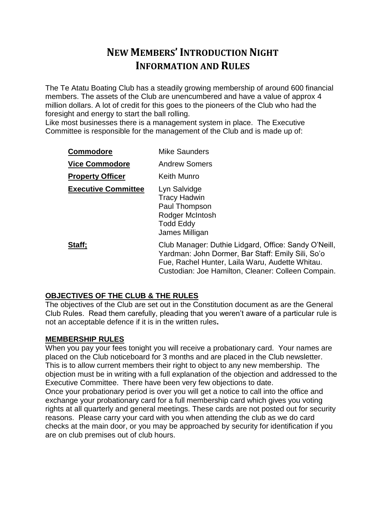# **NEW MEMBERS' INTRODUCTION NIGHT INFORMATION AND RULES**

The Te Atatu Boating Club has a steadily growing membership of around 600 financial members. The assets of the Club are unencumbered and have a value of approx 4 million dollars. A lot of credit for this goes to the pioneers of the Club who had the foresight and energy to start the ball rolling.

Like most businesses there is a management system in place. The Executive Committee is responsible for the management of the Club and is made up of:

| <b>Commodore</b>           | <b>Mike Saunders</b>                                                                                                                                                                                               |
|----------------------------|--------------------------------------------------------------------------------------------------------------------------------------------------------------------------------------------------------------------|
| <b>Vice Commodore</b>      | <b>Andrew Somers</b>                                                                                                                                                                                               |
| <b>Property Officer</b>    | Keith Munro                                                                                                                                                                                                        |
| <b>Executive Committee</b> | Lyn Salvidge<br><b>Tracy Hadwin</b><br>Paul Thompson<br>Rodger McIntosh<br><b>Todd Eddy</b><br>James Milligan                                                                                                      |
| Staff;                     | Club Manager: Duthie Lidgard, Office: Sandy O'Neill,<br>Yardman: John Dormer, Bar Staff: Emily Sili, So'o<br>Fue, Rachel Hunter, Laila Waru, Audette Whitau.<br>Custodian: Joe Hamilton, Cleaner: Colleen Compain. |

# **OBJECTIVES OF THE CLUB & THE RULES**

The objectives of the Club are set out in the Constitution document as are the General Club Rules. Read them carefully, pleading that you weren't aware of a particular rule is not an acceptable defence if it is in the written rules**.**

# **MEMBERSHIP RULES**

When you pay your fees tonight you will receive a probationary card. Your names are placed on the Club noticeboard for 3 months and are placed in the Club newsletter. This is to allow current members their right to object to any new membership. The objection must be in writing with a full explanation of the objection and addressed to the Executive Committee. There have been very few objections to date.

Once your probationary period is over you will get a notice to call into the office and exchange your probationary card for a full membership card which gives you voting rights at all quarterly and general meetings. These cards are not posted out for security reasons. Please carry your card with you when attending the club as we do card checks at the main door, or you may be approached by security for identification if you are on club premises out of club hours.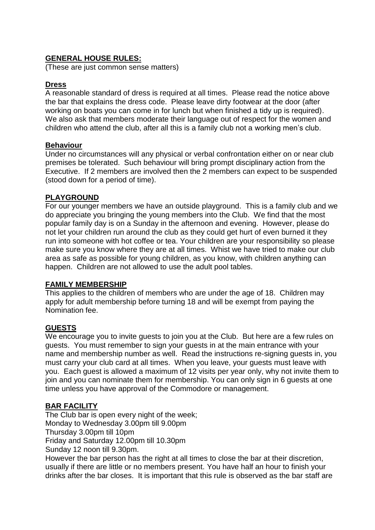# **GENERAL HOUSE RULES:**

(These are just common sense matters)

## **Dress**

A reasonable standard of dress is required at all times. Please read the notice above the bar that explains the dress code. Please leave dirty footwear at the door (after working on boats you can come in for lunch but when finished a tidy up is required). We also ask that members moderate their language out of respect for the women and children who attend the club, after all this is a family club not a working men's club.

## **Behaviour**

Under no circumstances will any physical or verbal confrontation either on or near club premises be tolerated. Such behaviour will bring prompt disciplinary action from the Executive. If 2 members are involved then the 2 members can expect to be suspended (stood down for a period of time).

## **PLAYGROUND**

For our younger members we have an outside playground. This is a family club and we do appreciate you bringing the young members into the Club. We find that the most popular family day is on a Sunday in the afternoon and evening. However, please do not let your children run around the club as they could get hurt of even burned it they run into someone with hot coffee or tea. Your children are your responsibility so please make sure you know where they are at all times. Whist we have tried to make our club area as safe as possible for young children, as you know, with children anything can happen. Children are not allowed to use the adult pool tables.

# **FAMILY MEMBERSHIP**

This applies to the children of members who are under the age of 18. Children may apply for adult membership before turning 18 and will be exempt from paying the Nomination fee.

# **GUESTS**

We encourage you to invite guests to join you at the Club. But here are a few rules on guests. You must remember to sign your guests in at the main entrance with your name and membership number as well. Read the instructions re-signing guests in, you must carry your club card at all times. When you leave, your guests must leave with you. Each guest is allowed a maximum of 12 visits per year only, why not invite them to join and you can nominate them for membership. You can only sign in 6 guests at one time unless you have approval of the Commodore or management.

#### **BAR FACILITY**

The Club bar is open every night of the week; Monday to Wednesday 3.00pm till 9.00pm Thursday 3.00pm till 10pm Friday and Saturday 12.00pm till 10.30pm Sunday 12 noon till 9.30pm. However the bar person has the right at all times to close the bar at their discretion, usually if there are little or no members present. You have half an hour to finish your

drinks after the bar closes. It is important that this rule is observed as the bar staff are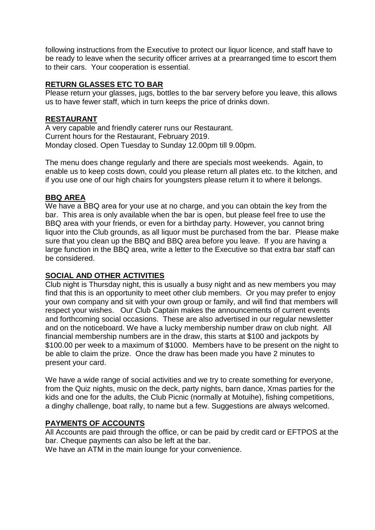following instructions from the Executive to protect our liquor licence, and staff have to be ready to leave when the security officer arrives at a prearranged time to escort them to their cars. Your cooperation is essential.

## **RETURN GLASSES ETC TO BAR**

Please return your glasses, jugs, bottles to the bar servery before you leave, this allows us to have fewer staff, which in turn keeps the price of drinks down.

#### **RESTAURANT**

A very capable and friendly caterer runs our Restaurant. Current hours for the Restaurant, February 2019. Monday closed. Open Tuesday to Sunday 12.00pm till 9.00pm.

The menu does change regularly and there are specials most weekends. Again, to enable us to keep costs down, could you please return all plates etc. to the kitchen, and if you use one of our high chairs for youngsters please return it to where it belongs.

#### **BBQ AREA**

We have a BBQ area for your use at no charge, and you can obtain the key from the bar. This area is only available when the bar is open, but please feel free to use the BBQ area with your friends, or even for a birthday party. However, you cannot bring liquor into the Club grounds, as all liquor must be purchased from the bar. Please make sure that you clean up the BBQ and BBQ area before you leave. If you are having a large function in the BBQ area, write a letter to the Executive so that extra bar staff can be considered.

#### **SOCIAL AND OTHER ACTIVITIES**

Club night is Thursday night, this is usually a busy night and as new members you may find that this is an opportunity to meet other club members. Or you may prefer to enjoy your own company and sit with your own group or family, and will find that members will respect your wishes. Our Club Captain makes the announcements of current events and forthcoming social occasions. These are also advertised in our regular newsletter and on the noticeboard. We have a lucky membership number draw on club night. All financial membership numbers are in the draw, this starts at \$100 and jackpots by \$100.00 per week to a maximum of \$1000. Members have to be present on the night to be able to claim the prize. Once the draw has been made you have 2 minutes to present your card.

We have a wide range of social activities and we try to create something for everyone, from the Quiz nights, music on the deck, party nights, barn dance, Xmas parties for the kids and one for the adults, the Club Picnic (normally at Motuihe), fishing competitions, a dinghy challenge, boat rally, to name but a few. Suggestions are always welcomed.

#### **PAYMENTS OF ACCOUNTS**

All Accounts are paid through the office, or can be paid by credit card or EFTPOS at the bar. Cheque payments can also be left at the bar.

We have an ATM in the main lounge for your convenience.